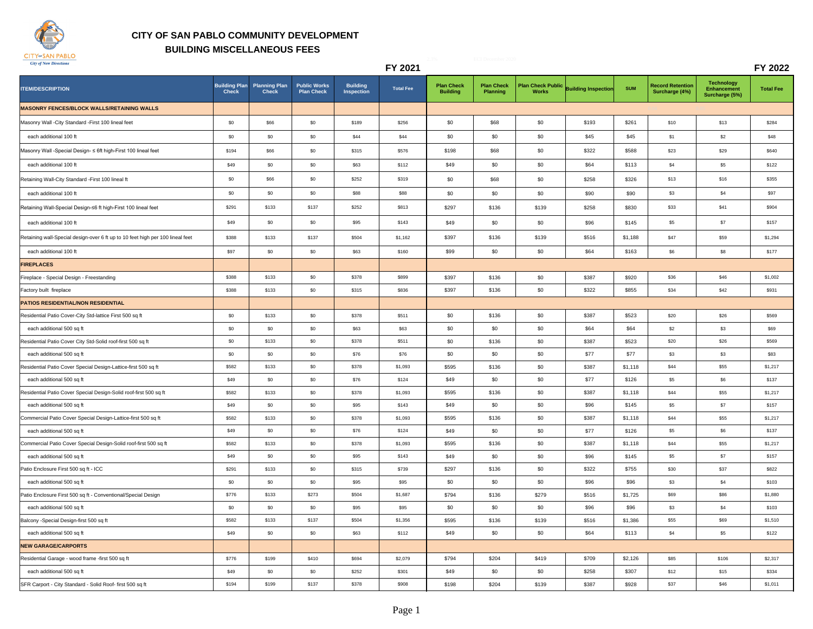

## **CITY OF SAN PABLO COMMUNITY DEVELOPMENT BUILDING MISCELLANEOUS FEES**

|                                                                                |                                      |                                      |                                          |                               | FY 2021          |                                      |                                      |              |                                       |            |                                           |                                                    | FY 2022          |
|--------------------------------------------------------------------------------|--------------------------------------|--------------------------------------|------------------------------------------|-------------------------------|------------------|--------------------------------------|--------------------------------------|--------------|---------------------------------------|------------|-------------------------------------------|----------------------------------------------------|------------------|
| <b>ITEM/DESCRIPTION</b>                                                        | <b>Building Plan</b><br><b>Check</b> | <b>Planning Plan</b><br><b>Check</b> | <b>Public Works</b><br><b>Plan Check</b> | <b>Building</b><br>Inspection | <b>Total Fee</b> | <b>Plan Check</b><br><b>Building</b> | <b>Plan Check</b><br><b>Planning</b> | <b>Works</b> | Plan Check Public Building Inspection | <b>SUM</b> | <b>Record Retention</b><br>Surcharge (4%) | <b>Technology</b><br>Enhancement<br>Surcharge (5%) | <b>Total Fee</b> |
| <b>MASONRY FENCES/BLOCK WALLS/RETAINING WALLS</b>                              |                                      |                                      |                                          |                               |                  |                                      |                                      |              |                                       |            |                                           |                                                    |                  |
| Masonry Wall - City Standard - First 100 lineal feet                           | \$0                                  | \$66                                 | \$0                                      | \$189                         | \$256            | \$0                                  | \$68                                 | \$0          | \$193                                 | \$261      | \$10                                      | \$13                                               | \$284            |
| each additional 100 ft                                                         | \$0                                  | \$0                                  | \$0                                      | \$44                          | \$44             | \$0                                  | \$0                                  | \$0          | \$45                                  | \$45       | \$1                                       | \$2                                                | \$48             |
| Masonry Wall -Special Design- ≤ 6ft high-First 100 lineal feet                 | \$194                                | \$66                                 | \$0                                      | \$315                         | \$576            | \$198                                | \$68                                 | \$0          | \$322                                 | \$588      | \$23                                      | \$29                                               | \$640            |
| each additional 100 ft                                                         | \$49                                 | \$0                                  | \$0                                      | \$63                          | \$112            | \$49                                 | \$0                                  | \$0          | \$64                                  | \$113      | \$4                                       | \$5                                                | \$122            |
| Retaining Wall-City Standard -First 100 lineal ft                              | \$0                                  | \$66                                 | \$0                                      | \$252                         | \$319            | \$0                                  | \$68                                 | \$0          | \$258                                 | \$326      | \$13                                      | \$16                                               | \$355            |
| each additional 100 ft                                                         | \$0                                  | \$0                                  | \$0                                      | \$88                          | \$88             | \$0                                  | \$0                                  | \$0          | \$90                                  | \$90       | \$3                                       | \$4                                                | \$97             |
| Retaining Wall-Special Design-≤6 ft high-First 100 lineal feet                 | \$291                                | \$133                                | \$137                                    | \$252                         | \$813            | \$297                                | \$136                                | \$139        | \$258                                 | \$830      | \$33                                      | \$41                                               | \$904            |
| each additional 100 ft                                                         | \$49                                 | \$0                                  | \$0                                      | \$95                          | \$143            | \$49                                 | \$0                                  | \$0          | \$96                                  | \$145      | $\$5$                                     | \$7                                                | \$157            |
| Retaining wall-Special design-over 6 ft up to 10 feet high per 100 lineal feet | \$388                                | \$133                                | \$137                                    | \$504                         | \$1,162          | \$397                                | \$136                                | \$139        | \$516                                 | \$1,188    | \$47                                      | \$59                                               | \$1,294          |
| each additional 100 ft                                                         | \$97                                 | \$0                                  | \$0                                      | \$63                          | \$160            | \$99                                 | \$0                                  | \$0          | \$64                                  | \$163      | \$6                                       | \$8                                                | \$177            |
| <b>FIREPLACES</b>                                                              |                                      |                                      |                                          |                               |                  |                                      |                                      |              |                                       |            |                                           |                                                    |                  |
| Fireplace - Special Design - Freestanding                                      | \$388                                | \$133                                | \$0                                      | \$378                         | \$899            | \$397                                | \$136                                | \$0          | \$387                                 | \$920      | \$36                                      | \$46                                               | \$1,002          |
| Factory built fireplace                                                        | \$388                                | \$133                                | \$0                                      | \$315                         | \$836            | \$397                                | \$136                                | \$0          | \$322                                 | \$855      | \$34                                      | \$42                                               | \$931            |
| PATIOS RESIDENTIAL/NON RESIDENTIAL                                             |                                      |                                      |                                          |                               |                  |                                      |                                      |              |                                       |            |                                           |                                                    |                  |
| Residential Patio Cover-City Std-lattice First 500 sq ft                       | \$0                                  | \$133                                | \$0                                      | \$378                         | \$511            | \$0                                  | \$136                                | \$0          | \$387                                 | \$523      | \$20                                      | \$26                                               | \$569            |
| each additional 500 sq ft                                                      | \$0                                  | \$0                                  | \$0                                      | \$63                          | \$63             | \$0                                  | \$0                                  | \$0          | \$64                                  | \$64       | \$2                                       | \$3                                                | \$69             |
| Residential Patio Cover City Std-Solid roof-first 500 sq ft                    | \$0                                  | \$133                                | \$0                                      | \$378                         | \$511            | \$0                                  | \$136                                | \$0          | \$387                                 | \$523      | \$20                                      | \$26                                               | \$569            |
| each additional 500 sq ft                                                      | \$0                                  | \$0                                  | \$0                                      | \$76                          | <b>\$76</b>      | \$0                                  | \$0                                  | \$0          | \$77                                  | \$77       | \$3                                       | \$3                                                | \$83             |
| Residential Patio Cover Special Design-Lattice-first 500 sq ft                 | \$582                                | \$133                                | \$0                                      | \$378                         | \$1,093          | \$595                                | \$136                                | \$0          | \$387                                 | \$1,118    | \$44                                      | \$55                                               | \$1,217          |
| each additional 500 sq ft                                                      | \$49                                 | \$0                                  | \$0                                      | \$76                          | \$124            | \$49                                 | \$0                                  | \$0          | \$77                                  | \$126      | \$5                                       | \$6                                                | \$137            |
| Residential Patio Cover Special Design-Solid roof-first 500 sq ft              | \$582                                | \$133                                | \$0                                      | \$378                         | \$1,093          | \$595                                | \$136                                | \$0          | \$387                                 | \$1,118    | \$44                                      | \$55                                               | \$1,217          |
| each additional 500 sq ft                                                      | \$49                                 | \$0                                  | \$0                                      | \$95                          | \$143            | \$49                                 | \$0                                  | \$0          | \$96                                  | \$145      | \$5                                       | \$7                                                | \$157            |
| Commercial Patio Cover Special Design-Lattice-first 500 sq ft                  | \$582                                | \$133                                | \$0                                      | \$378                         | \$1,093          | \$595                                | \$136                                | \$0          | \$387                                 | \$1,118    | \$44                                      | \$55                                               | \$1,217          |
| each additional 500 sq ft                                                      | \$49                                 | \$0                                  | \$0                                      | \$76                          | \$124            | \$49                                 | \$0                                  | \$0          | \$77                                  | \$126      | \$5                                       | \$6                                                | \$137            |
| Commercial Patio Cover Special Design-Solid roof-first 500 sq ft               | \$582                                | \$133                                | \$0                                      | \$378                         | \$1,093          | \$595                                | \$136                                | \$0          | \$387                                 | \$1,118    | \$44                                      | \$55                                               | \$1,217          |
| each additional 500 sq ft                                                      | \$49                                 | \$0                                  | \$0                                      | \$95                          | \$143            | \$49                                 | \$0                                  | \$0          | \$96                                  | \$145      | \$5                                       | \$7                                                | \$157            |
| Patio Enclosure First 500 sq ft - ICC                                          | \$291                                | \$133                                | \$0                                      | \$315                         | \$739            | \$297                                | \$136                                | \$0          | \$322                                 | \$755      | \$30                                      | \$37                                               | \$822            |
| each additional 500 sq ft                                                      | \$0                                  | \$0                                  | \$0                                      | \$95                          | \$95             | \$0                                  | \$0                                  | \$0          | \$96                                  | \$96       | \$3                                       | \$4                                                | \$103            |
| Patio Enclosure First 500 sq ft - Conventional/Special Design                  | \$776                                | \$133                                | \$273                                    | \$504                         | \$1,687          | \$794                                | \$136                                | \$279        | \$516                                 | \$1,725    | \$69                                      | \$86                                               | \$1,880          |
| each additional 500 sq ft                                                      | \$0                                  | \$0                                  | \$0                                      | \$95                          | \$95             | \$0                                  | \$0                                  | \$0          | \$96                                  | \$96       | \$3                                       | \$4                                                | \$103            |
| Balcony -Special Design-first 500 sq ft                                        | \$582                                | \$133                                | \$137                                    | \$504                         | \$1,356          | \$595                                | \$136                                | \$139        | \$516                                 | \$1,386    | \$55                                      | \$69                                               | \$1,510          |
| each additional 500 sq ft                                                      | \$49                                 | \$0                                  | \$0                                      | \$63                          | \$112            | \$49                                 | \$0                                  | \$0          | \$64                                  | \$113      | \$4                                       | \$5                                                | \$122            |
| <b>NEW GARAGE/CARPORTS</b>                                                     |                                      |                                      |                                          |                               |                  |                                      |                                      |              |                                       |            |                                           |                                                    |                  |
| Residential Garage - wood frame -first 500 sq ft                               | \$776                                | \$199                                | \$410                                    | \$694                         | \$2,079          | \$794                                | \$204                                | \$419        | \$709                                 | \$2,126    | \$85                                      | \$106                                              | \$2,317          |
| each additional 500 sq ft                                                      | \$49                                 | \$0                                  | \$0                                      | \$252                         | \$301            | \$49                                 | \$0                                  | \$0          | \$258                                 | \$307      | \$12                                      | \$15                                               | \$334            |
| SFR Carport - City Standard - Solid Roof- first 500 sq ft                      | \$194                                | \$199                                | \$137                                    | \$378                         | \$908            | \$198                                | \$204                                | \$139        | \$387                                 | \$928      | \$37                                      | \$46                                               | \$1,011          |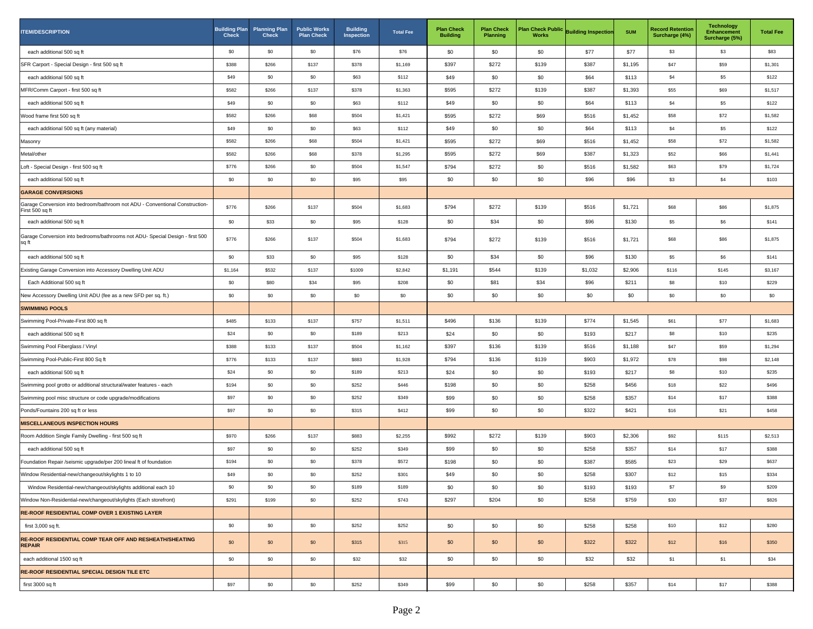| <b>ITEM/DESCRIPTION</b>                                                                         | <b>Building Plan</b><br><b>Check</b> | <b>Planning Plan</b><br><b>Check</b> | <b>Public Works</b><br><b>Plan Check</b> | <b>Building</b><br>Inspection | <b>Total Fee</b> | <b>Plan Check</b><br><b>Building</b> | <b>Plan Check</b><br><b>Planning</b> | <b>Works</b> | Plan Check Public Building Inspection | <b>SUM</b> | <b>Record Retention</b><br>Surcharge (4%) | <b>Technology</b><br><b>Enhancement</b><br>Surcharge (5%) | <b>Total Fee</b> |
|-------------------------------------------------------------------------------------------------|--------------------------------------|--------------------------------------|------------------------------------------|-------------------------------|------------------|--------------------------------------|--------------------------------------|--------------|---------------------------------------|------------|-------------------------------------------|-----------------------------------------------------------|------------------|
| each additional 500 sq ft                                                                       | \$0                                  | \$0                                  | \$0                                      | \$76                          | \$76             | \$0                                  | \$0                                  | \$0          | \$77                                  | \$77       | \$3                                       | \$3                                                       | \$83             |
| SFR Carport - Special Design - first 500 sq ft                                                  | \$388                                | \$266                                | \$137                                    | \$378                         | \$1,169          | \$397                                | \$272                                | \$139        | \$387                                 | \$1,195    | \$47                                      | \$59                                                      | \$1,301          |
| each additional 500 sq ft                                                                       | \$49                                 | \$0                                  | \$0                                      | \$63                          | \$112            | \$49                                 | \$0                                  | \$0          | \$64                                  | \$113      | \$4                                       | \$5                                                       | \$122            |
| MFR/Comm Carport - first 500 sq ft                                                              | \$582                                | \$266                                | \$137                                    | \$378                         | \$1,363          | \$595                                | \$272                                | \$139        | \$387                                 | \$1,393    | \$55                                      | \$69                                                      | \$1,517          |
| each additional 500 sq ft                                                                       | \$49                                 | \$0                                  | \$0                                      | \$63                          | \$112            | \$49                                 | \$0                                  | \$0          | \$64                                  | \$113      | \$4                                       | \$5                                                       | \$122            |
| Wood frame first 500 sq ft                                                                      | \$582                                | \$266                                | \$68                                     | \$504                         | \$1,421          | \$595                                | \$272                                | \$69         | \$516                                 | \$1,452    | \$58                                      | \$72                                                      | \$1,582          |
| each additional 500 sq ft (any material)                                                        | \$49                                 | \$0                                  | \$0                                      | \$63                          | \$112            | \$49                                 | \$0                                  | \$0          | \$64                                  | \$113      | \$4                                       | \$5                                                       | \$122            |
| Masonry                                                                                         | \$582                                | \$266                                | \$68                                     | \$504                         | \$1,421          | \$595                                | \$272                                | \$69         | \$516                                 | \$1,452    | \$58                                      | \$72                                                      | \$1,582          |
| Metal/other                                                                                     | \$582                                | \$266                                | \$68                                     | \$378                         | \$1,295          | \$595                                | \$272                                | \$69         | \$387                                 | \$1,323    | \$52                                      | \$66                                                      | \$1,441          |
| Loft - Special Design - first 500 sq ft                                                         | \$776                                | \$266                                | \$0                                      | \$504                         | \$1,547          | \$794                                | \$272                                | \$0          | \$516                                 | \$1,582    | \$63                                      | \$79                                                      | \$1,724          |
| each additional 500 sq ft                                                                       | \$0                                  | $\$0$                                | \$0                                      | \$95                          | \$95             | \$0                                  | \$0                                  | \$0          | \$96                                  | \$96       | $$3$                                      | \$4                                                       | \$103            |
| <b>GARAGE CONVERSIONS</b>                                                                       |                                      |                                      |                                          |                               |                  |                                      |                                      |              |                                       |            |                                           |                                                           |                  |
| Garage Conversion into bedroom/bathroom not ADU - Conventional Construction-<br>First 500 sq ft | \$776                                | \$266                                | \$137                                    | \$504                         | \$1,683          | \$794                                | \$272                                | \$139        | \$516                                 | \$1,721    | \$68                                      | \$86                                                      | \$1,875          |
| each additional 500 sq ft                                                                       | \$0                                  | \$33                                 | \$0                                      | \$95                          | \$128            | \$0                                  | \$34                                 | \$0          | \$96                                  | \$130      | \$5                                       | \$6                                                       | \$141            |
| Garage Conversion into bedrooms/bathrooms not ADU- Special Design - first 500<br>sq ft          | \$776                                | \$266                                | \$137                                    | \$504                         | \$1,683          | \$794                                | \$272                                | \$139        | \$516                                 | \$1,721    | \$68                                      | \$86                                                      | \$1,875          |
| each additional 500 sq ft                                                                       | \$0                                  | \$33                                 | \$0                                      | \$95                          | \$128            | \$0                                  | \$34                                 | \$0          | \$96                                  | \$130      | \$5                                       | \$6                                                       | \$141            |
| Existing Garage Conversion into Accessory Dwelling Unit ADU                                     | \$1,164                              | \$532                                | \$137                                    | \$1009                        | \$2,842          | \$1,191                              | \$544                                | \$139        | \$1,032                               | \$2,906    | \$116                                     | \$145                                                     | \$3,167          |
| Each Additional 500 sq ft                                                                       | \$0                                  | \$80                                 | \$34                                     | \$95                          | \$208            | \$0                                  | \$81                                 | \$34         | \$96                                  | \$211      | \$8                                       | \$10                                                      | \$229            |
| New Accessory Dwelling Unit ADU (fee as a new SFD per sq. ft.)                                  | \$0                                  | \$0                                  | \$0                                      | \$0                           | \$0              | \$0                                  | \$0                                  | \$0          | \$0                                   | \$0        | \$0                                       | \$0                                                       | \$0              |
| <b>SWIMMING POOLS</b>                                                                           |                                      |                                      |                                          |                               |                  |                                      |                                      |              |                                       |            |                                           |                                                           |                  |
| Swimming Pool-Private-First 800 sq ft                                                           | \$485                                | \$133                                | \$137                                    | \$757                         | \$1,511          | \$496                                | \$136                                | \$139        | \$774                                 | \$1,545    | \$61                                      | \$77                                                      | \$1,683          |
| each additional 500 sq ft                                                                       | \$24                                 | \$0                                  | \$0                                      | \$189                         | \$213            | \$24                                 | \$0                                  | \$0          | \$193                                 | \$217      | \$8                                       | \$10                                                      | \$235            |
| Swimming Pool Fiberglass / Vinyl                                                                | \$388                                | \$133                                | \$137                                    | \$504                         | \$1,162          | \$397                                | \$136                                | \$139        | \$516                                 | \$1,188    | \$47                                      | \$59                                                      | \$1,294          |
| Swimming Pool-Public-First 800 Sq ft                                                            | \$776                                | \$133                                | \$137                                    | \$883                         | \$1,928          | \$794                                | \$136                                | \$139        | \$903                                 | \$1,972    | \$78                                      | \$98                                                      | \$2,148          |
| each additional 500 sq ft                                                                       | \$24                                 | \$0                                  | \$0                                      | \$189                         | \$213            | \$24                                 | \$0                                  | \$0          | \$193                                 | \$217      | \$8                                       | \$10                                                      | \$235            |
| Swimming pool grotto or additional structural/water features - each                             | \$194                                | \$0                                  | \$0                                      | \$252                         | \$446            | \$198                                | \$0                                  | \$0          | \$258                                 | \$456      | \$18                                      | \$22                                                      | \$496            |
| Swimming pool misc structure or code upgrade/modifications                                      | \$97                                 | \$0                                  | \$0                                      | \$252                         | \$349            | \$99                                 | \$0                                  | \$0          | \$258                                 | \$357      | \$14                                      | \$17                                                      | \$388            |
| Ponds/Fountains 200 sq ft or less                                                               | \$97                                 | $\$0$                                | \$0                                      | \$315                         | \$412            | \$99                                 | \$0                                  | \$0          | \$322                                 | \$421      | \$16                                      | \$21                                                      | \$458            |
| <b>MISCELLANEOUS INSPECTION HOURS</b>                                                           |                                      |                                      |                                          |                               |                  |                                      |                                      |              |                                       |            |                                           |                                                           |                  |
| Room Addition Single Family Dwelling - first 500 sq ft                                          | \$970                                | \$266                                | \$137                                    | \$883                         | \$2,255          | \$992                                | \$272                                | \$139        | \$903                                 | \$2,306    | \$92                                      | \$115                                                     | \$2,513          |
| each additional 500 sq ft                                                                       | \$97                                 | \$0                                  | \$0                                      | \$252                         | \$349            | \$99                                 | \$0                                  | \$0          | \$258                                 | \$357      | \$14                                      | \$17                                                      | \$388            |
| Foundation Repair /seismic upgrade/per 200 lineal ft of foundation                              | \$194                                | $\$0$                                | \$0                                      | \$378                         | \$572            | \$198                                | \$0                                  | \$0          | \$387                                 | \$585      | \$23                                      | \$29                                                      | \$637            |
| Window Residential-new/changeout/skylights 1 to 10                                              | \$49                                 | \$0                                  | \$0                                      | \$252                         | \$301            | \$49                                 | \$0                                  | \$0          | \$258                                 | \$307      | \$12                                      | \$15                                                      | \$334            |
| Window Residential-new/changeout/skylights additional each 10                                   | \$0                                  | \$0                                  | \$0                                      | \$189                         | \$189            | \$0                                  | \$0                                  | \$0          | \$193                                 | \$193      | \$7                                       | \$9                                                       | \$209            |
| Window Non-Residential-new/changeout/skylights (Each storefront)                                | \$291                                | \$199                                | \$0                                      | \$252                         | \$743            | \$297                                | \$204                                | \$0          | \$258                                 | \$759      | \$30                                      | \$37                                                      | \$826            |
| <b>RE-ROOF RESIDENTIAL COMP OVER 1 EXISTING LAYER</b>                                           |                                      |                                      |                                          |                               |                  |                                      |                                      |              |                                       |            |                                           |                                                           |                  |
| first 3,000 sq ft.                                                                              | \$0                                  | \$0                                  | \$0                                      | \$252                         | \$252            | \$0                                  | \$0                                  | \$0          | \$258                                 | \$258      | \$10                                      | \$12                                                      | \$280            |
| RE-ROOF RESIDENTIAL COMP TEAR OFF AND RESHEATH/SHEATING<br><b>REPAIR</b>                        | \$0                                  | \$0                                  | \$0                                      | \$315                         | \$315            | \$0                                  | \$0                                  | \$0          | \$322                                 | \$322      | \$12                                      | \$16                                                      | \$350            |
| each additional 1500 sq ft                                                                      | \$0                                  | \$0                                  | \$0                                      | \$32                          | \$32             | \$0                                  | \$0                                  | \$0          | \$32                                  | \$32       | \$1                                       | \$1                                                       | \$34             |
| <b>RE-ROOF RESIDENTIAL SPECIAL DESIGN TILE ETC</b>                                              |                                      |                                      |                                          |                               |                  |                                      |                                      |              |                                       |            |                                           |                                                           |                  |
| first 3000 sq ft                                                                                | \$97                                 | \$0                                  | \$0                                      | \$252                         | \$349            | \$99                                 | \$0                                  | \$0          | \$258                                 | \$357      | \$14                                      | \$17                                                      | \$388            |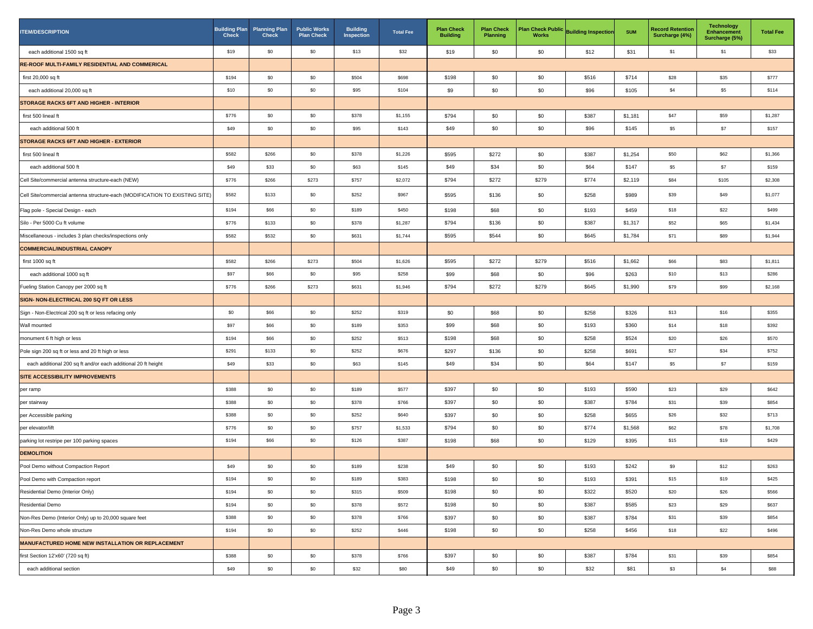| <b>ITEM/DESCRIPTION</b>                                                     | <b>Building Plan</b><br><b>Check</b> | <b>Planning Plan</b><br><b>Check</b> | <b>Public Works</b><br><b>Plan Check</b> | <b>Building</b><br>Inspection | <b>Total Fee</b> | <b>Plan Check</b><br><b>Building</b> | <b>Plan Check</b><br><b>Planning</b> | <b>Works</b> | Plan Check Public Building Inspection | <b>SUM</b> | <b>Record Retention</b><br>Surcharge (4%) | <b>Technology</b><br><b>Enhancement</b><br>Surcharge (5%) | <b>Total Fee</b> |
|-----------------------------------------------------------------------------|--------------------------------------|--------------------------------------|------------------------------------------|-------------------------------|------------------|--------------------------------------|--------------------------------------|--------------|---------------------------------------|------------|-------------------------------------------|-----------------------------------------------------------|------------------|
| each additional 1500 sq ft                                                  | \$19                                 | \$0                                  | \$0                                      | \$13                          | \$32             | \$19                                 | \$0                                  | \$0          | \$12                                  | \$31       | \$1                                       | \$1                                                       | \$33             |
| RE-ROOF MULTI-FAMILY RESIDENTIAL AND COMMERICAL                             |                                      |                                      |                                          |                               |                  |                                      |                                      |              |                                       |            |                                           |                                                           |                  |
| first 20,000 sq ft                                                          | \$194                                | \$0                                  | \$0                                      | \$504                         | \$698            | \$198                                | \$0                                  | \$0          | \$516                                 | \$714      | \$28                                      | \$35                                                      | \$777            |
| each additional 20,000 sq ft                                                | \$10                                 | \$0                                  | \$0                                      | \$95                          | \$104            | \$9                                  | \$0                                  | \$0          | \$96                                  | \$105      | \$4                                       | \$5                                                       | \$114            |
| STORAGE RACKS 6FT AND HIGHER - INTERIOR                                     |                                      |                                      |                                          |                               |                  |                                      |                                      |              |                                       |            |                                           |                                                           |                  |
| first 500 lineal ft                                                         | \$776                                | \$0                                  | \$0                                      | \$378                         | \$1,155          | \$794                                | \$0                                  | \$0          | \$387                                 | \$1,181    | \$47                                      | \$59                                                      | \$1,287          |
| each additional 500 ft                                                      | \$49                                 | \$0                                  | \$0                                      | \$95                          | \$143            | \$49                                 | \$0                                  | \$0          | \$96                                  | \$145      | \$5                                       | \$7                                                       | \$157            |
| STORAGE RACKS 6FT AND HIGHER - EXTERIOR                                     |                                      |                                      |                                          |                               |                  |                                      |                                      |              |                                       |            |                                           |                                                           |                  |
| first 500 lineal ft                                                         | \$582                                | \$266                                | \$0                                      | \$378                         | \$1,226          | \$595                                | \$272                                | \$0          | \$387                                 | \$1,254    | \$50                                      | \$62                                                      | \$1,366          |
| each additional 500 ft                                                      | \$49                                 | \$33                                 | \$0                                      | \$63                          | \$145            | \$49                                 | \$34                                 | \$0          | \$64                                  | \$147      | \$5                                       | \$7                                                       | \$159            |
| Cell Site/commercial antenna structure-each (NEW)                           | \$776                                | \$266                                | \$273                                    | \$757                         | \$2,072          | \$794                                | \$272                                | \$279        | \$774                                 | \$2,119    | \$84                                      | \$105                                                     | \$2,308          |
| Cell Site/commercial antenna structure-each (MODIFICATION TO EXISTING SITE) | \$582                                | \$133                                | \$0                                      | \$252                         | \$967            | \$595                                | \$136                                | \$0          | \$258                                 | \$989      | \$39                                      | \$49                                                      | \$1,077          |
| Flag pole - Special Design - each                                           | \$194                                | \$66                                 | \$0                                      | \$189                         | \$450            | \$198                                | \$68                                 | \$0          | \$193                                 | \$459      | \$18                                      | \$22                                                      | \$499            |
| Silo - Per 5000 Cu ft volume                                                | \$776                                | \$133                                | \$0                                      | \$378                         | \$1,287          | \$794                                | \$136                                | \$0          | \$387                                 | \$1,317    | \$52                                      | \$65                                                      | \$1,434          |
| Miscellaneous - includes 3 plan checks/inspections only                     | \$582                                | \$532                                | \$0                                      | \$631                         | \$1,744          | \$595                                | \$544                                | \$0          | \$645                                 | \$1,784    | \$71                                      | \$89                                                      | \$1,944          |
| <b>COMMERCIAL/INDUSTRIAL CANOPY</b>                                         |                                      |                                      |                                          |                               |                  |                                      |                                      |              |                                       |            |                                           |                                                           |                  |
| first 1000 sq ft                                                            | \$582                                | \$266                                | \$273                                    | \$504                         | \$1,626          | \$595                                | \$272                                | \$279        | \$516                                 | \$1,662    | \$66                                      | \$83                                                      | \$1,811          |
| each additional 1000 sq ft                                                  | \$97                                 | \$66                                 | \$0                                      | \$95                          | \$258            | \$99                                 | \$68                                 | \$0          | \$96                                  | \$263      | \$10                                      | \$13                                                      | \$286            |
| Fueling Station Canopy per 2000 sq ft                                       | \$776                                | \$266                                | \$273                                    | \$631                         | \$1,946          | \$794                                | \$272                                | \$279        | \$645                                 | \$1,990    | \$79                                      | \$99                                                      | \$2,168          |
| SIGN- NON-ELECTRICAL 200 SQ FT OR LESS                                      |                                      |                                      |                                          |                               |                  |                                      |                                      |              |                                       |            |                                           |                                                           |                  |
| Sign - Non-Electrical 200 sq ft or less refacing only                       | \$0                                  | \$66                                 | \$0                                      | \$252                         | \$319            | \$0                                  | \$68                                 | \$0          | \$258                                 | \$326      | \$13                                      | \$16                                                      | \$355            |
| Wall mounted                                                                | \$97                                 | \$66                                 | \$0                                      | \$189                         | \$353            | \$99                                 | \$68                                 | \$0          | \$193                                 | \$360      | \$14                                      | \$18                                                      | \$392            |
| monument 6 ft high or less                                                  | \$194                                | \$66                                 | \$0                                      | \$252                         | \$513            | \$198                                | \$68                                 | \$0          | \$258                                 | \$524      | \$20                                      | \$26                                                      | \$570            |
| Pole sign 200 sq ft or less and 20 ft high or less                          | \$291                                | \$133                                | \$0                                      | \$252                         | \$676            | \$297                                | \$136                                | \$0          | \$258                                 | \$691      | \$27                                      | \$34                                                      | \$752            |
| each additional 200 sq ft and/or each additional 20 ft height               | \$49                                 | \$33                                 | \$0                                      | \$63                          | \$145            | \$49                                 | \$34                                 | \$0          | \$64                                  | \$147      | \$5                                       | \$7                                                       | \$159            |
| SITE ACCESSIBILITY IMPROVEMENTS                                             |                                      |                                      |                                          |                               |                  |                                      |                                      |              |                                       |            |                                           |                                                           |                  |
| per ramp                                                                    | \$388                                | \$0                                  | \$0                                      | \$189                         | \$577            | \$397                                | \$0                                  | \$0          | \$193                                 | \$590      | \$23                                      | \$29                                                      | \$642            |
| per stairway                                                                | \$388                                | \$0                                  | \$0                                      | \$378                         | \$766            | \$397                                | \$0                                  | \$0          | \$387                                 | \$784      | \$31                                      | \$39                                                      | \$854            |
| per Accessible parking                                                      | \$388                                | \$0                                  | \$0                                      | \$252                         | \$640            | \$397                                | \$0                                  | \$0          | \$258                                 | \$655      | \$26                                      | \$32                                                      | \$713            |
| per elevator/lift                                                           | \$776                                | \$0                                  | \$0                                      | \$757                         | \$1,533          | \$794                                | \$0                                  | \$0          | \$774                                 | \$1,568    | \$62                                      | \$78                                                      | \$1,708          |
| parking lot restripe per 100 parking spaces                                 | \$194                                | \$66                                 | \$0                                      | \$126                         | \$387            | \$198                                | \$68                                 | \$0          | \$129                                 | \$395      | \$15                                      | \$19                                                      | \$429            |
| <b>DEMOLITION</b>                                                           |                                      |                                      |                                          |                               |                  |                                      |                                      |              |                                       |            |                                           |                                                           |                  |
| Pool Demo without Compaction Report                                         | \$49                                 | \$0                                  | \$0                                      | \$189                         | \$238            | \$49                                 | \$0                                  | \$0          | \$193                                 | \$242      | \$9                                       | \$12                                                      | \$263            |
| Pool Demo with Compaction report                                            | \$194                                | \$0                                  | $\$0$                                    | \$189                         | \$383            | \$198                                | \$0                                  | \$0          | \$193                                 | \$391      | \$15                                      | \$19                                                      | \$425            |
| Residential Demo (Interior Only)                                            | \$194                                | \$0                                  | \$0                                      | \$315                         | \$509            | \$198                                | \$0                                  | \$0          | \$322                                 | \$520      | \$20                                      | \$26                                                      | \$566            |
| Residential Demo                                                            | \$194                                | \$0                                  | \$0                                      | \$378                         | \$572            | \$198                                | \$0                                  | \$0          | \$387                                 | \$585      | \$23                                      | \$29                                                      | \$637            |
| Non-Res Demo (Interior Only) up to 20,000 square feet                       | \$388                                | \$0                                  | \$0                                      | \$378                         | \$766            | \$397                                | \$0                                  | \$0          | \$387                                 | \$784      | \$31                                      | \$39                                                      | \$854            |
| Non-Res Demo whole structure                                                | \$194                                | \$0                                  | \$0                                      | \$252                         | \$446            | \$198                                | \$0                                  | \$0          | \$258                                 | \$456      | \$18                                      | \$22                                                      | \$496            |
| MANUFACTURED HOME NEW INSTALLATION OR REPLACEMENT                           |                                      |                                      |                                          |                               |                  |                                      |                                      |              |                                       |            |                                           |                                                           |                  |
| first Section 12'x60' (720 sq ft)                                           | \$388                                | \$0                                  | \$0                                      | \$378                         | \$766            | \$397                                | \$0                                  | \$0          | \$387                                 | \$784      | \$31                                      | \$39                                                      | \$854            |
| each additional section                                                     | \$49                                 | \$0                                  | \$0                                      | \$32                          | \$80             | \$49                                 | \$0                                  | \$0          | \$32                                  | \$81       | \$3                                       | \$4                                                       | \$88             |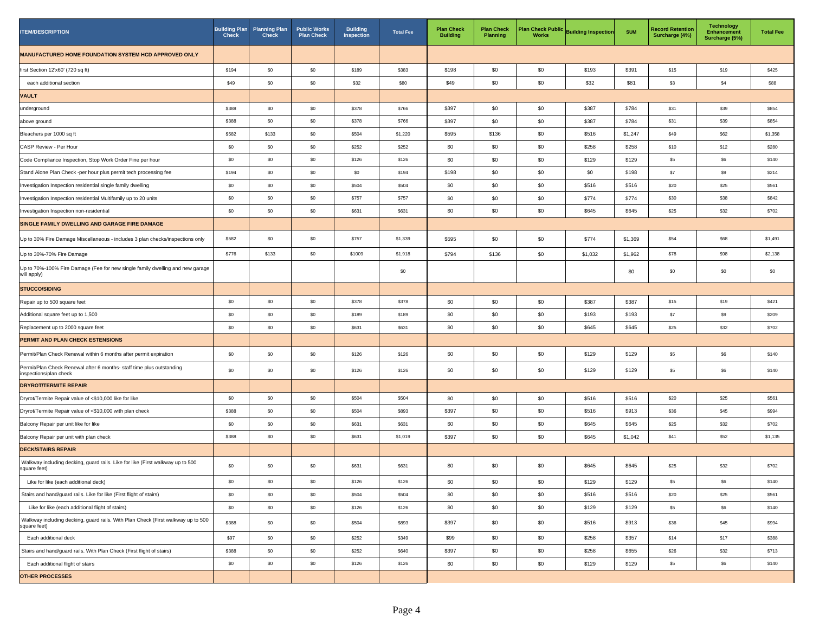| <b>ITEM/DESCRIPTION</b>                                                                          | <b>Building Plan</b><br><b>Check</b> | <b>Planning Plan</b><br><b>Check</b> | <b>Public Works</b><br><b>Plan Check</b> | <b>Building</b><br>Inspection | <b>Total Fee</b> | <b>Plan Check</b><br><b>Building</b> | <b>Plan Check</b><br>Planning | <b>Works</b> | Plan Check Public Building Inspection | <b>SUM</b> | <b>Record Retention</b><br>Surcharge (4%) | <b>Technology</b><br><b>Enhancement</b><br>Surcharge (5%) | <b>Total Fee</b> |
|--------------------------------------------------------------------------------------------------|--------------------------------------|--------------------------------------|------------------------------------------|-------------------------------|------------------|--------------------------------------|-------------------------------|--------------|---------------------------------------|------------|-------------------------------------------|-----------------------------------------------------------|------------------|
| MANUFACTURED HOME FOUNDATION SYSTEM HCD APPROVED ONLY                                            |                                      |                                      |                                          |                               |                  |                                      |                               |              |                                       |            |                                           |                                                           |                  |
| first Section 12'x60' (720 sq ft)                                                                | \$194                                | \$0                                  | \$0                                      | \$189                         | \$383            | \$198                                | \$0                           | \$0          | \$193                                 | \$391      | \$15                                      | \$19                                                      | \$425            |
| each additional section                                                                          | \$49                                 | \$0                                  | \$0                                      | \$32                          | \$80             | \$49                                 | \$0                           | \$0          | \$32                                  | \$81       | \$3                                       | \$4                                                       | \$88             |
| <b>VAULT</b>                                                                                     |                                      |                                      |                                          |                               |                  |                                      |                               |              |                                       |            |                                           |                                                           |                  |
| underground                                                                                      | \$388                                | \$0                                  | \$0                                      | \$378                         | \$766            | \$397                                | \$0                           | \$0          | \$387                                 | \$784      | \$31                                      | \$39                                                      | \$854            |
| above ground                                                                                     | \$388                                | \$0                                  | \$0                                      | \$378                         | \$766            | \$397                                | \$0                           | \$0          | \$387                                 | \$784      | \$31                                      | \$39                                                      | \$854            |
| Bleachers per 1000 sq ft                                                                         | \$582                                | \$133                                | \$0                                      | \$504                         | \$1,220          | \$595                                | \$136                         | \$0          | \$516                                 | \$1,247    | \$49                                      | \$62                                                      | \$1,358          |
| CASP Review - Per Hour                                                                           | \$0                                  | \$0                                  | \$0                                      | \$252                         | \$252            | \$0                                  | \$0                           | \$0          | \$258                                 | \$258      | \$10                                      | \$12                                                      | \$280            |
| Code Compliance Inspection, Stop Work Order Fine per hour                                        | \$0                                  | \$0                                  | \$0                                      | \$126                         | \$126            | \$0                                  | \$0                           | \$0          | \$129                                 | \$129      | \$5                                       | \$6                                                       | \$140            |
| Stand Alone Plan Check -per hour plus permit tech processing fee                                 | \$194                                | \$0                                  | \$0                                      | \$0                           | \$194            | \$198                                | \$0                           | \$0          | \$0                                   | \$198      | \$7                                       | \$9                                                       | \$214            |
| Investigation Inspection residential single family dwelling                                      | \$0                                  | \$0                                  | \$0                                      | \$504                         | \$504            | \$0                                  | \$0                           | \$0          | \$516                                 | \$516      | \$20                                      | \$25                                                      | \$561            |
| Investigation Inspection residential Multifamily up to 20 units                                  | \$0                                  | \$0                                  | \$0                                      | \$757                         | \$757            | \$0                                  | \$0                           | \$0          | \$774                                 | \$774      | \$30                                      | \$38                                                      | \$842            |
| Investigation Inspection non-residential                                                         | \$0                                  | \$0                                  | \$0                                      | \$631                         | \$631            | \$0                                  | \$0                           | \$0          | \$645                                 | \$645      | \$25                                      | \$32                                                      | \$702            |
| SINGLE FAMILY DWELLING AND GARAGE FIRE DAMAGE                                                    |                                      |                                      |                                          |                               |                  |                                      |                               |              |                                       |            |                                           |                                                           |                  |
| Up to 30% Fire Damage Miscellaneous - includes 3 plan checks/inspections only                    | \$582                                | \$0                                  | \$0                                      | \$757                         | \$1,339          | \$595                                | \$0                           | \$0          | \$774                                 | \$1,369    | \$54                                      | \$68                                                      | \$1,491          |
| Up to 30%-70% Fire Damage                                                                        | \$776                                | \$133                                | \$0                                      | \$1009                        | \$1,918          | \$794                                | \$136                         | \$0          | \$1,032                               | \$1,962    | \$78                                      | \$98                                                      | \$2,138          |
| Up to 70%-100% Fire Damage (Fee for new single family dwelling and new garage<br>will apply)     |                                      |                                      |                                          |                               | \$0              |                                      |                               |              |                                       | \$0        | \$0                                       | \$0                                                       | \$0              |
| <b>STUCCO/SIDING</b>                                                                             |                                      |                                      |                                          |                               |                  |                                      |                               |              |                                       |            |                                           |                                                           |                  |
| Repair up to 500 square feet                                                                     | \$0                                  | \$0                                  | \$0                                      | \$378                         | \$378            | \$0                                  | \$0                           | \$0          | \$387                                 | \$387      | \$15                                      | \$19                                                      | \$421            |
| Additional square feet up to 1,500                                                               | \$0                                  | \$0                                  | \$0                                      | \$189                         | \$189            | \$0                                  | \$0                           | \$0          | \$193                                 | \$193      | \$7                                       | \$9                                                       | \$209            |
| Replacement up to 2000 square feet                                                               | \$0                                  | \$0                                  | \$0                                      | \$631                         | \$631            | \$0                                  | \$0                           | \$0          | \$645                                 | \$645      | \$25                                      | \$32                                                      | \$702            |
| <b>PERMIT AND PLAN CHECK ESTENSIONS</b>                                                          |                                      |                                      |                                          |                               |                  |                                      |                               |              |                                       |            |                                           |                                                           |                  |
| Permit/Plan Check Renewal within 6 months after permit expiration                                | \$0                                  | \$0                                  | $\$0$                                    | \$126                         | \$126            | \$0                                  | \$0                           | \$0          | \$129                                 | \$129      | \$5                                       | \$6                                                       | \$140            |
| Permit/Plan Check Renewal after 6 months- staff time plus outstanding<br>inspections/plan check  | \$0                                  | \$0                                  | \$0                                      | \$126                         | \$126            | \$0                                  | \$0                           | \$0          | \$129                                 | \$129      | \$5                                       | \$6                                                       | \$140            |
| <b>DRYROT/TERMITE REPAIR</b>                                                                     |                                      |                                      |                                          |                               |                  |                                      |                               |              |                                       |            |                                           |                                                           |                  |
| Dryrot/Termite Repair value of <\$10,000 like for like                                           | \$0                                  | \$0                                  | \$0                                      | \$504                         | \$504            | \$0                                  | \$0                           | \$0          | \$516                                 | \$516      | \$20                                      | \$25                                                      | \$561            |
| Dryrot/Termite Repair value of <\$10,000 with plan check                                         | \$388                                | \$0                                  | \$0                                      | \$504                         | \$893            | \$397                                | \$0                           | \$0          | \$516                                 | \$913      | \$36                                      | \$45                                                      | \$994            |
| Balcony Repair per unit like for like                                                            | \$0                                  | \$0                                  | \$0                                      | \$631                         | \$631            | \$0                                  | \$0                           | \$0          | \$645                                 | \$645      | \$25                                      | \$32                                                      | \$702            |
| Balcony Repair per unit with plan check                                                          | \$388                                | \$0                                  | \$0                                      | \$631                         | \$1,019          | \$397                                | \$0                           | \$0          | \$645                                 | \$1,042    | \$41                                      | \$52                                                      | \$1,135          |
| <b>DECK/STAIRS REPAIR</b>                                                                        |                                      |                                      |                                          |                               |                  |                                      |                               |              |                                       |            |                                           |                                                           |                  |
| Walkway including decking, guard rails. Like for like (First walkway up to 500<br>square feet)   | \$0                                  | \$0                                  | \$0                                      | \$631                         | \$631            | \$0                                  | \$0                           | \$0          | \$645                                 | \$645      | \$25                                      | \$32                                                      | \$702            |
| Like for like (each additional deck)                                                             | \$0                                  | \$0                                  | \$0                                      | \$126                         | \$126            | \$0                                  | \$0                           | \$0          | \$129                                 | \$129      | \$5                                       | \$6                                                       | \$140            |
| Stairs and hand/guard rails. Like for like (First flight of stairs)                              | \$0                                  | \$0                                  | $\$0$                                    | \$504                         | \$504            | \$0                                  | \$0                           | \$0          | \$516                                 | \$516      | \$20                                      | $$25$                                                     | \$561            |
| Like for like (each additional flight of stairs)                                                 | \$0                                  | \$0                                  | \$0                                      | \$126                         | \$126            | \$0                                  | \$0                           | \$0          | \$129                                 | \$129      | \$5                                       | \$6                                                       | \$140            |
| Walkway including decking, guard rails. With Plan Check (First walkway up to 500<br>square feet) | \$388                                | \$0                                  | \$0                                      | \$504                         | \$893            | \$397                                | \$0                           | \$0          | \$516                                 | \$913      | \$36                                      | \$45                                                      | \$994            |
| Each additional deck                                                                             | \$97                                 | \$0                                  | \$0                                      | \$252                         | \$349            | \$99                                 | \$0                           | \$0          | \$258                                 | \$357      | \$14                                      | \$17                                                      | \$388            |
| Stairs and hand/guard rails. With Plan Check (First flight of stairs)                            | \$388                                | \$0                                  | \$0                                      | \$252                         | \$640            | \$397                                | \$0                           | \$0          | \$258                                 | \$655      | \$26                                      | \$32                                                      | \$713            |
| Each additional flight of stairs                                                                 | \$0                                  | \$0                                  | \$0                                      | \$126                         | \$126            | \$0                                  | \$0                           | \$0          | \$129                                 | \$129      | \$5                                       | \$6                                                       | \$140            |
| <b>OTHER PROCESSES</b>                                                                           |                                      |                                      |                                          |                               |                  |                                      |                               |              |                                       |            |                                           |                                                           |                  |